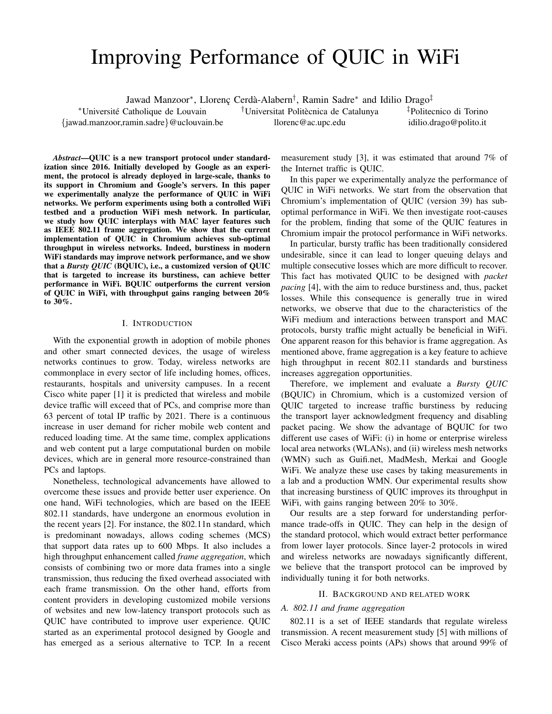# Improving Performance of QUIC in WiFi

Jawad Manzoor\*, Llorenç Cerdà-Alabern<sup>†</sup>, Ramin Sadre\* and Idilio Drago<sup>‡</sup>

<sup>†</sup>Universitat Politècnica de Catalunya

llorenc@ac.upc.edu

‡Politecnico di Torino idilio.drago@polito.it

*Abstract*—QUIC is a new transport protocol under standardization since 2016. Initially developed by Google as an experiment, the protocol is already deployed in large-scale, thanks to its support in Chromium and Google's servers. In this paper we experimentally analyze the performance of QUIC in WiFi networks. We perform experiments using both a controlled WiFi testbed and a production WiFi mesh network. In particular, we study how QUIC interplays with MAC layer features such as IEEE 802.11 frame aggregation. We show that the current implementation of QUIC in Chromium achieves sub-optimal throughput in wireless networks. Indeed, burstiness in modern WiFi standards may improve network performance, and we show that a *Bursty QUIC* (BQUIC), i.e., a customized version of QUIC that is targeted to increase its burstiness, can achieve better performance in WiFi. BQUIC outperforms the current version of QUIC in WiFi, with throughput gains ranging between 20% to 30%.

<sup>∗</sup>Universite Catholique de Louvain ´ {jawad.manzoor,ramin.sadre}@uclouvain.be

# I. INTRODUCTION

With the exponential growth in adoption of mobile phones and other smart connected devices, the usage of wireless networks continues to grow. Today, wireless networks are commonplace in every sector of life including homes, offices, restaurants, hospitals and university campuses. In a recent Cisco white paper [1] it is predicted that wireless and mobile device traffic will exceed that of PCs, and comprise more than 63 percent of total IP traffic by 2021. There is a continuous increase in user demand for richer mobile web content and reduced loading time. At the same time, complex applications and web content put a large computational burden on mobile devices, which are in general more resource-constrained than PCs and laptops.

Nonetheless, technological advancements have allowed to overcome these issues and provide better user experience. On one hand, WiFi technologies, which are based on the IEEE 802.11 standards, have undergone an enormous evolution in the recent years [2]. For instance, the 802.11n standard, which is predominant nowadays, allows coding schemes (MCS) that support data rates up to 600 Mbps. It also includes a high throughput enhancement called *frame aggregation*, which consists of combining two or more data frames into a single transmission, thus reducing the fixed overhead associated with each frame transmission. On the other hand, efforts from content providers in developing customized mobile versions of websites and new low-latency transport protocols such as QUIC have contributed to improve user experience. QUIC started as an experimental protocol designed by Google and has emerged as a serious alternative to TCP. In a recent measurement study [3], it was estimated that around 7% of the Internet traffic is QUIC.

In this paper we experimentally analyze the performance of QUIC in WiFi networks. We start from the observation that Chromium's implementation of QUIC (version 39) has suboptimal performance in WiFi. We then investigate root-causes for the problem, finding that some of the QUIC features in Chromium impair the protocol performance in WiFi networks.

In particular, bursty traffic has been traditionally considered undesirable, since it can lead to longer queuing delays and multiple consecutive losses which are more difficult to recover. This fact has motivated QUIC to be designed with *packet pacing* [4], with the aim to reduce burstiness and, thus, packet losses. While this consequence is generally true in wired networks, we observe that due to the characteristics of the WiFi medium and interactions between transport and MAC protocols, bursty traffic might actually be beneficial in WiFi. One apparent reason for this behavior is frame aggregation. As mentioned above, frame aggregation is a key feature to achieve high throughput in recent 802.11 standards and burstiness increases aggregation opportunities.

Therefore, we implement and evaluate a *Bursty QUIC* (BQUIC) in Chromium, which is a customized version of QUIC targeted to increase traffic burstiness by reducing the transport layer acknowledgment frequency and disabling packet pacing. We show the advantage of BQUIC for two different use cases of WiFi: (i) in home or enterprise wireless local area networks (WLANs), and (ii) wireless mesh networks (WMN) such as Guifi.net, MadMesh, Merkai and Google WiFi. We analyze these use cases by taking measurements in a lab and a production WMN. Our experimental results show that increasing burstiness of QUIC improves its throughput in WiFi, with gains ranging between 20% to 30%.

Our results are a step forward for understanding performance trade-offs in QUIC. They can help in the design of the standard protocol, which would extract better performance from lower layer protocols. Since layer-2 protocols in wired and wireless networks are nowadays significantly different, we believe that the transport protocol can be improved by individually tuning it for both networks.

#### II. BACKGROUND AND RELATED WORK

#### *A. 802.11 and frame aggregation*

802.11 is a set of IEEE standards that regulate wireless transmission. A recent measurement study [5] with millions of Cisco Meraki access points (APs) shows that around 99% of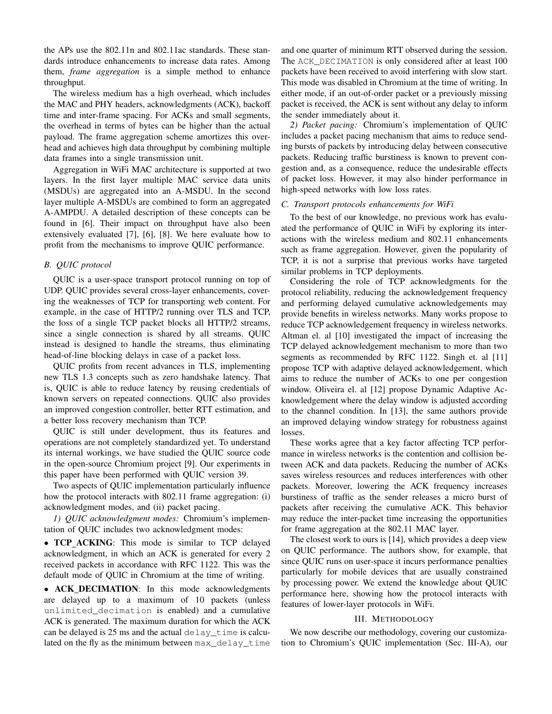the APs use the 802.11n and 802.11ac standards. These standards introduce enhancements to increase data rates. Among them, *frame aggregation* is a simple method to enhance throughput.

The wireless medium has a high overhead, which includes the MAC and PHY headers, acknowledgments (ACK), backoff time and inter-frame spacing. For ACKs and small segments, the overhead in terms of bytes can be higher than the actual payload. The frame aggregation scheme amortizes this overhead and achieves high data throughput by combining multiple data frames into a single transmission unit.

Aggregation in WiFi MAC architecture is supported at two layers. In the first layer multiple MAC service data units (MSDUs) are aggregated into an A-MSDU. In the second layer multiple A-MSDUs are combined to form an aggregated A-AMPDU. A detailed description of these concepts can be found in [6]. Their impact on throughput have also been extensively evaluated [7], [6], [8]. We here evaluate how to profit from the mechanisms to improve QUIC performance.

## *B. QUIC protocol*

QUIC is a user-space transport protocol running on top of UDP. QUIC provides several cross-layer enhancements, covering the weaknesses of TCP for transporting web content. For example, in the case of HTTP/2 running over TLS and TCP, the loss of a single TCP packet blocks all HTTP/2 streams, since a single connection is shared by all streams. QUIC instead is designed to handle the streams, thus eliminating head-of-line blocking delays in case of a packet loss.

QUIC profits from recent advances in TLS, implementing new TLS 1.3 concepts such as zero handshake latency. That is, QUIC is able to reduce latency by reusing credentials of known servers on repeated connections. QUIC also provides an improved congestion controller, better RTT estimation, and a better loss recovery mechanism than TCP.

QUIC is still under development, thus its features and operations are not completely standardized yet. To understand its internal workings, we have studied the QUIC source code in the open-source Chromium project [9]. Our experiments in this paper have been performed with QUIC version 39.

Two aspects of QUIC implementation particularly influence how the protocol interacts with 802.11 frame aggregation: (i) acknowledgment modes, and (ii) packet pacing.

*1) QUIC acknowledgment modes:* Chromium's implementation of QUIC includes two acknowledgment modes:

• TCP ACKING: This mode is similar to TCP delayed acknowledgment, in which an ACK is generated for every 2 received packets in accordance with RFC 1122. This was the default mode of QUIC in Chromium at the time of writing.

• ACK\_DECIMATION: In this mode acknowledgments are delayed up to a maximum of 10 packets (unless unlimited\_decimation is enabled) and a cumulative ACK is generated. The maximum duration for which the ACK can be delayed is 25 ms and the actual delay time is calculated on the fly as the minimum between max delay time and one quarter of minimum RTT observed during the session. The ACK\_DECIMATION is only considered after at least 100 packets have been received to avoid interfering with slow start. This mode was disabled in Chromium at the time of writing. In either mode, if an out-of-order packet or a previously missing packet is received, the ACK is sent without any delay to inform the sender immediately about it.

*2) Packet pacing:* Chromium's implementation of QUIC includes a packet pacing mechanism that aims to reduce sending bursts of packets by introducing delay between consecutive packets. Reducing traffic burstiness is known to prevent congestion and, as a consequence, reduce the undesirable effects of packet loss. However, it may also hinder performance in high-speed networks with low loss rates.

#### *C. Transport protocols enhancements for WiFi*

To the best of our knowledge, no previous work has evaluated the performance of QUIC in WiFi by exploring its interactions with the wireless medium and 802.11 enhancements such as frame aggregation. However, given the popularity of TCP, it is not a surprise that previous works have targeted similar problems in TCP deployments.

Considering the role of TCP acknowledgments for the protocol reliability, reducing the acknowledgement frequency and performing delayed cumulative acknowledgements may provide benefits in wireless networks. Many works propose to reduce TCP acknowledgement frequency in wireless networks. Altman el. al [10] investigated the impact of increasing the TCP delayed acknowledgement mechanism to more than two segments as recommended by RFC 1122. Singh et. al [11] propose TCP with adaptive delayed acknowledgement, which aims to reduce the number of ACKs to one per congestion window. Oliveira el. al [12] propose Dynamic Adaptive Acknowledgement where the delay window is adjusted according to the channel condition. In [13], the same authors provide an improved delaying window strategy for robustness against losses.

These works agree that a key factor affecting TCP performance in wireless networks is the contention and collision between ACK and data packets. Reducing the number of ACKs saves wireless resources and reduces interferences with other packets. Moreover, lowering the ACK frequency increases burstiness of traffic as the sender releases a micro burst of packets after receiving the cumulative ACK. This behavior may reduce the inter-packet time increasing the opportunities for frame aggregation at the 802.11 MAC layer.

The closest work to ours is [14], which provides a deep view on QUIC performance. The authors show, for example, that since QUIC runs on user-space it incurs performance penalties particularly for mobile devices that are usually constrained by processing power. We extend the knowledge about QUIC performance here, showing how the protocol interacts with features of lower-layer protocols in WiFi.

## III. METHODOLOGY

We now describe our methodology, covering our customization to Chromium's QUIC implementation (Sec. III-A), our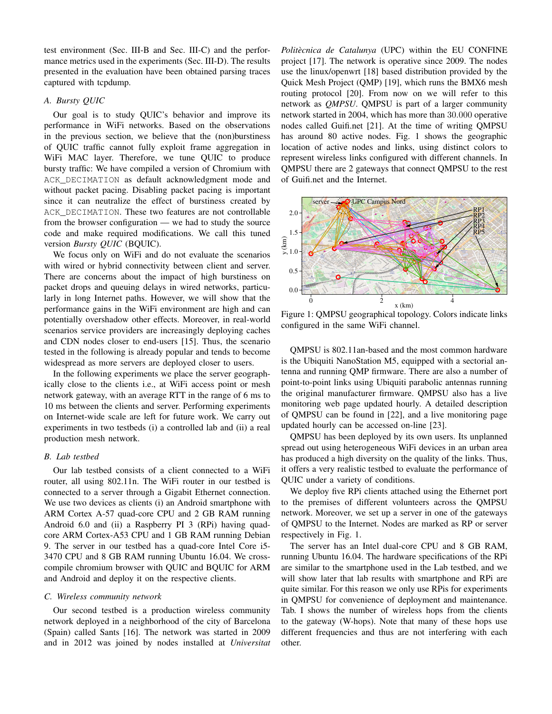test environment (Sec. III-B and Sec. III-C) and the performance metrics used in the experiments (Sec. III-D). The results presented in the evaluation have been obtained parsing traces captured with tcpdump.

# *A. Bursty QUIC*

Our goal is to study QUIC's behavior and improve its performance in WiFi networks. Based on the observations in the previous section, we believe that the (non)burstiness of QUIC traffic cannot fully exploit frame aggregation in WiFi MAC layer. Therefore, we tune QUIC to produce bursty traffic: We have compiled a version of Chromium with ACK\_DECIMATION as default acknowledgment mode and without packet pacing. Disabling packet pacing is important since it can neutralize the effect of burstiness created by ACK\_DECIMATION. These two features are not controllable from the browser configuration — we had to study the source code and make required modifications. We call this tuned version *Bursty QUIC* (BQUIC).

We focus only on WiFi and do not evaluate the scenarios with wired or hybrid connectivity between client and server. There are concerns about the impact of high burstiness on packet drops and queuing delays in wired networks, particularly in long Internet paths. However, we will show that the performance gains in the WiFi environment are high and can potentially overshadow other effects. Moreover, in real-world scenarios service providers are increasingly deploying caches and CDN nodes closer to end-users [15]. Thus, the scenario tested in the following is already popular and tends to become widespread as more servers are deployed closer to users.

In the following experiments we place the server geographically close to the clients i.e., at WiFi access point or mesh network gateway, with an average RTT in the range of 6 ms to 10 ms between the clients and server. Performing experiments on Internet-wide scale are left for future work. We carry out experiments in two testbeds (i) a controlled lab and (ii) a real production mesh network.

#### *B. Lab testbed*

Our lab testbed consists of a client connected to a WiFi router, all using 802.11n. The WiFi router in our testbed is connected to a server through a Gigabit Ethernet connection. We use two devices as clients (i) an Android smartphone with ARM Cortex A-57 quad-core CPU and 2 GB RAM running Android 6.0 and (ii) a Raspberry PI 3 (RPi) having quadcore ARM Cortex-A53 CPU and 1 GB RAM running Debian 9. The server in our testbed has a quad-core Intel Core i5- 3470 CPU and 8 GB RAM running Ubuntu 16.04. We crosscompile chromium browser with QUIC and BQUIC for ARM and Android and deploy it on the respective clients.

#### *C. Wireless community network*

Our second testbed is a production wireless community network deployed in a neighborhood of the city of Barcelona (Spain) called Sants [16]. The network was started in 2009 and in 2012 was joined by nodes installed at *Universitat*

*Politecnica de Catalunya `* (UPC) within the EU CONFINE project [17]. The network is operative since 2009. The nodes use the linux/openwrt [18] based distribution provided by the Quick Mesh Project (QMP) [19], which runs the BMX6 mesh routing protocol [20]. From now on we will refer to this network as *QMPSU*. QMPSU is part of a larger community network started in 2004, which has more than 30.000 operative nodes called Guifi.net [21]. At the time of writing QMPSU has around 80 active nodes. Fig. 1 shows the geographic location of active nodes and links, using distinct colors to represent wireless links configured with different channels. In QMPSU there are 2 gateways that connect QMPSU to the rest of Guifi.net and the Internet.



Figure 1: QMPSU geographical topology. Colors indicate links configured in the same WiFi channel.

QMPSU is 802.11an-based and the most common hardware is the Ubiquiti NanoStation M5, equipped with a sectorial antenna and running QMP firmware. There are also a number of point-to-point links using Ubiquiti parabolic antennas running the original manufacturer firmware. QMPSU also has a live monitoring web page updated hourly. A detailed description of QMPSU can be found in [22], and a live monitoring page updated hourly can be accessed on-line [23].

QMPSU has been deployed by its own users. Its unplanned spread out using heterogeneous WiFi devices in an urban area has produced a high diversity on the quality of the links. Thus, it offers a very realistic testbed to evaluate the performance of QUIC under a variety of conditions.

We deploy five RPi clients attached using the Ethernet port to the premises of different volunteers across the QMPSU network. Moreover, we set up a server in one of the gateways of QMPSU to the Internet. Nodes are marked as RP or server respectively in Fig. 1.

The server has an Intel dual-core CPU and 8 GB RAM, running Ubuntu 16.04. The hardware specifications of the RPi are similar to the smartphone used in the Lab testbed, and we will show later that lab results with smartphone and RPi are quite similar. For this reason we only use RPis for experiments in QMPSU for convenience of deployment and maintenance. Tab. I shows the number of wireless hops from the clients to the gateway (W-hops). Note that many of these hops use different frequencies and thus are not interfering with each other.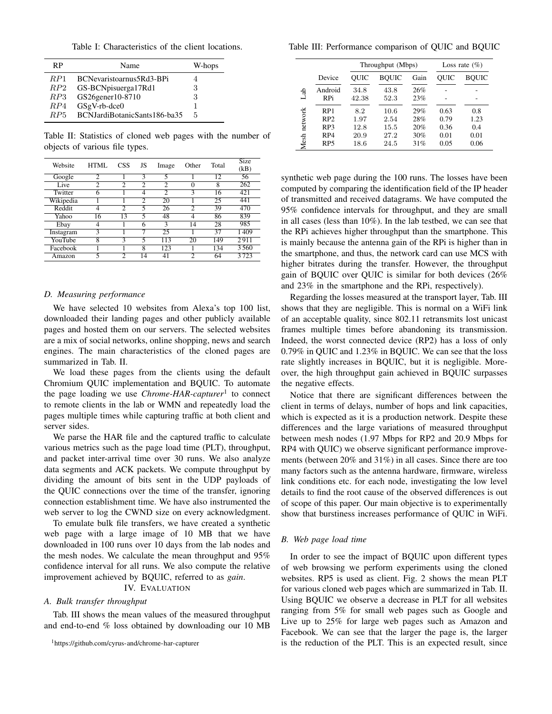Table I: Characteristics of the client locations.

| RP  | Name                         | W-hops |
|-----|------------------------------|--------|
| RP1 | BCNevaristoarnus5Rd3-BPi     |        |
| RP2 | GS-BCNpisuerga17Rd1          | 3      |
| RP3 | GS26gener10-8710             | 3      |
| RP4 | $GSgV-rb-dce0$               |        |
| RP5 | BCNJardiBotanicSants186-ba35 | 5      |

Table II: Statistics of cloned web pages with the number of objects of various file types.

| Website   | HTML           | CSS            | JS             | Image          | Other | Total | <b>Size</b><br>(kB) |
|-----------|----------------|----------------|----------------|----------------|-------|-------|---------------------|
| Google    | $\mathfrak{D}$ |                | 3              | 5              |       | 12    | 56                  |
| Live      | 2              | っ              | $\mathfrak{D}$ | 2              | 0     | 8     | 262                 |
| Twitter   | 6              |                | 4              | $\overline{2}$ | 3     | 16    | 421                 |
| Wikipedia |                |                | $\bar{2}$      | 20             |       | 25    | 441                 |
| Reddit    | 4              | $\overline{c}$ | 5              | 26             | 2     | 39    | 470                 |
| Yahoo     | 16             | 13             | 5              | 48             | 4     | 86    | 839                 |
| Ebay      | 4              |                | 6              | 3              | 14    | 28    | 985                 |
| Instagram | 3              |                | 7              | 25             |       | 37    | 1409                |
| YouTube   | 8              | ٩              | 5              | 113            | 20    | 149   | 2911                |
| Facebook  |                |                | 8              | 123            |       | 134   | 3560                |
| Amazon    | 5              | $\mathfrak{D}$ | 14             | 41             | っ     | 64    | 3723                |

#### *D. Measuring performance*

We have selected 10 websites from Alexa's top 100 list, downloaded their landing pages and other publicly available pages and hosted them on our servers. The selected websites are a mix of social networks, online shopping, news and search engines. The main characteristics of the cloned pages are summarized in Tab. II.

We load these pages from the clients using the default Chromium QUIC implementation and BQUIC. To automate the page loading we use *Chrome-HAR-capturer*<sup>1</sup> to connect to remote clients in the lab or WMN and repeatedly load the pages multiple times while capturing traffic at both client and server sides.

We parse the HAR file and the captured traffic to calculate various metrics such as the page load time (PLT), throughput, and packet inter-arrival time over 30 runs. We also analyze data segments and ACK packets. We compute throughput by dividing the amount of bits sent in the UDP payloads of the QUIC connections over the time of the transfer, ignoring connection establishment time. We have also instrumented the web server to log the CWND size on every acknowledgment.

To emulate bulk file transfers, we have created a synthetic web page with a large image of 10 MB that we have downloaded in 100 runs over 10 days from the lab nodes and the mesh nodes. We calculate the mean throughput and 95% confidence interval for all runs. We also compute the relative improvement achieved by BQUIC, referred to as *gain*.

# IV. EVALUATION

### *A. Bulk transfer throughput*

Tab. III shows the mean values of the measured throughput and end-to-end % loss obtained by downloading our 10 MB

Table III: Performance comparison of QUIC and BQUIC

|                 |                 |             | Throughput (Mbps) | Loss rate $(\% )$ |      |              |
|-----------------|-----------------|-------------|-------------------|-------------------|------|--------------|
|                 | Device          | <b>OUIC</b> | <b>BQUIC</b>      | Gain              | OUIC | <b>BOUIC</b> |
| डै              | Android         | 34.8        | 43.8              | 26%               |      |              |
|                 | <b>RPi</b>      | 42.38       | 52.3              | 23%               |      |              |
| network<br>Mesh | RP1             | 8.2         | 10.6              | 29%               | 0.63 | 0.8          |
|                 | RP2             | 1.97        | 2.54              | 28%               | 0.79 | 1.23         |
|                 | RP <sub>3</sub> | 12.8        | 15.5              | 20%               | 0.36 | 0.4          |
|                 | RP4             | 20.9        | 27.2              | 30%               | 0.01 | 0.01         |
|                 | RP <sub>5</sub> | 18.6        | 24.5              | 31%               | 0.05 | 0.06         |

synthetic web page during the 100 runs. The losses have been computed by comparing the identification field of the IP header of transmitted and received datagrams. We have computed the 95% confidence intervals for throughput, and they are small in all cases (less than 10%). In the lab testbed, we can see that the RPi achieves higher throughput than the smartphone. This is mainly because the antenna gain of the RPi is higher than in the smartphone, and thus, the network card can use MCS with higher bitrates during the transfer. However, the throughput gain of BQUIC over QUIC is similar for both devices (26% and 23% in the smartphone and the RPi, respectively).

Regarding the losses measured at the transport layer, Tab. III shows that they are negligible. This is normal on a WiFi link of an acceptable quality, since 802.11 retransmits lost unicast frames multiple times before abandoning its transmission. Indeed, the worst connected device (RP2) has a loss of only 0.79% in QUIC and 1.23% in BQUIC. We can see that the loss rate slightly increases in BQUIC, but it is negligible. Moreover, the high throughput gain achieved in BQUIC surpasses the negative effects.

Notice that there are significant differences between the client in terms of delays, number of hops and link capacities, which is expected as it is a production network. Despite these differences and the large variations of measured throughput between mesh nodes (1.97 Mbps for RP2 and 20.9 Mbps for RP4 with QUIC) we observe significant performance improvements (between 20% and 31%) in all cases. Since there are too many factors such as the antenna hardware, firmware, wireless link conditions etc. for each node, investigating the low level details to find the root cause of the observed differences is out of scope of this paper. Our main objective is to experimentally show that burstiness increases performance of QUIC in WiFi.

#### *B. Web page load time*

In order to see the impact of BQUIC upon different types of web browsing we perform experiments using the cloned websites. RP5 is used as client. Fig. 2 shows the mean PLT for various cloned web pages which are summarized in Tab. II. Using BQUIC we observe a decrease in PLT for all websites ranging from 5% for small web pages such as Google and Live up to 25% for large web pages such as Amazon and Facebook. We can see that the larger the page is, the larger is the reduction of the PLT. This is an expected result, since

<sup>1</sup>https://github.com/cyrus-and/chrome-har-capturer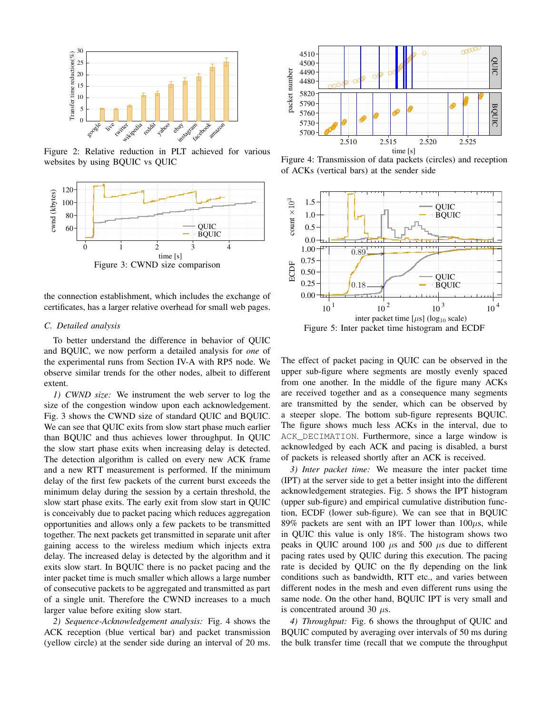

Figure 2: Relative reduction in PLT achieved for various websites by using BQUIC vs QUIC



the connection establishment, which includes the exchange of certificates, has a larger relative overhead for small web pages.

# *C. Detailed analysis*

To better understand the difference in behavior of QUIC and BQUIC, we now perform a detailed analysis for *one* of the experimental runs from Section IV-A with RP5 node. We observe similar trends for the other nodes, albeit to different extent.

*1) CWND size:* We instrument the web server to log the size of the congestion window upon each acknowledgement. Fig. 3 shows the CWND size of standard QUIC and BQUIC. We can see that QUIC exits from slow start phase much earlier than BQUIC and thus achieves lower throughput. In QUIC the slow start phase exits when increasing delay is detected. The detection algorithm is called on every new ACK frame and a new RTT measurement is performed. If the minimum delay of the first few packets of the current burst exceeds the minimum delay during the session by a certain threshold, the slow start phase exits. The early exit from slow start in QUIC is conceivably due to packet pacing which reduces aggregation opportunities and allows only a few packets to be transmitted together. The next packets get transmitted in separate unit after gaining access to the wireless medium which injects extra delay. The increased delay is detected by the algorithm and it exits slow start. In BQUIC there is no packet pacing and the inter packet time is much smaller which allows a large number of consecutive packets to be aggregated and transmitted as part of a single unit. Therefore the CWND increases to a much larger value before exiting slow start.

*2) Sequence-Acknowledgement analysis:* Fig. 4 shows the ACK reception (blue vertical bar) and packet transmission (yellow circle) at the sender side during an interval of 20 ms.



Figure 4: Transmission of data packets (circles) and reception of ACKs (vertical bars) at the sender side



Figure 5: Inter packet time histogram and ECDF

The effect of packet pacing in QUIC can be observed in the upper sub-figure where segments are mostly evenly spaced from one another. In the middle of the figure many ACKs are received together and as a consequence many segments are transmitted by the sender, which can be observed by a steeper slope. The bottom sub-figure represents BQUIC. The figure shows much less ACKs in the interval, due to ACK\_DECIMATION. Furthermore, since a large window is acknowledged by each ACK and pacing is disabled, a burst of packets is released shortly after an ACK is received.

*3) Inter packet time:* We measure the inter packet time (IPT) at the server side to get a better insight into the different acknowledgement strategies. Fig. 5 shows the IPT histogram (upper sub-figure) and empirical cumulative distribution function, ECDF (lower sub-figure). We can see that in BQUIC 89% packets are sent with an IPT lower than  $100\mu s$ , while in QUIC this value is only 18%. The histogram shows two peaks in OUIC around 100  $\mu$ s and 500  $\mu$ s due to different pacing rates used by QUIC during this execution. The pacing rate is decided by QUIC on the fly depending on the link conditions such as bandwidth, RTT etc., and varies between different nodes in the mesh and even different runs using the same node. On the other hand, BQUIC IPT is very small and is concentrated around 30  $\mu$ s.

*4) Throughput:* Fig. 6 shows the throughput of QUIC and BQUIC computed by averaging over intervals of 50 ms during the bulk transfer time (recall that we compute the throughput